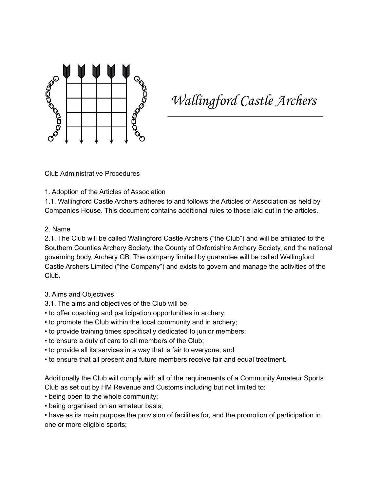

Wallingford Castle Archers

Club Administrative Procedures

## 1. Adoption of the Articles of Association

1.1. Wallingford Castle Archers adheres to and follows the Articles of Association as held by Companies House. This document contains additional rules to those laid out in the articles.

## 2. Name

2.1. The Club will be called Wallingford Castle Archers ("the Club") and will be affiliated to the Southern Counties Archery Society, the County of Oxfordshire Archery Society, and the national governing body, Archery GB. The company limited by guarantee will be called Wallingford Castle Archers Limited ("the Company") and exists to govern and manage the activities of the Club.

- 3. Aims and Objectives
- 3.1. The aims and objectives of the Club will be:
- to offer coaching and participation opportunities in archery;
- to promote the Club within the local community and in archery;
- to provide training times specifically dedicated to junior members;
- to ensure a duty of care to all members of the Club;
- to provide all its services in a way that is fair to everyone; and
- to ensure that all present and future members receive fair and equal treatment.

Additionally the Club will comply with all of the requirements of a Community Amateur Sports Club as set out by HM Revenue and Customs including but not limited to:

- being open to the whole community;
- being organised on an amateur basis;

• have as its main purpose the provision of facilities for, and the promotion of participation in, one or more eligible sports;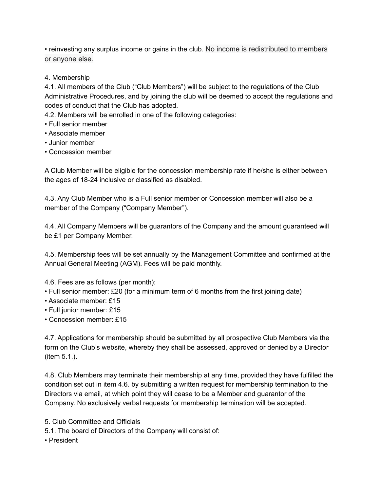• reinvesting any surplus income or gains in the club. No income is redistributed to members or anyone else.

## 4. Membership

4.1. All members of the Club ("Club Members") will be subject to the regulations of the Club Administrative Procedures, and by joining the club will be deemed to accept the regulations and codes of conduct that the Club has adopted.

4.2. Members will be enrolled in one of the following categories:

- Full senior member
- Associate member
- Junior member
- Concession member

A Club Member will be eligible for the concession membership rate if he/she is either between the ages of 18-24 inclusive or classified as disabled.

4.3. Any Club Member who is a Full senior member or Concession member will also be a member of the Company ("Company Member").

4.4. All Company Members will be guarantors of the Company and the amount guaranteed will be £1 per Company Member.

4.5. Membership fees will be set annually by the Management Committee and confirmed at the Annual General Meeting (AGM). Fees will be paid monthly.

4.6. Fees are as follows (per month):

- Full senior member: £20 (for a minimum term of 6 months from the first joining date)
- Associate member: £15
- Full junior member: £15
- Concession member: £15

4.7. Applications for membership should be submitted by all prospective Club Members via the form on the Club's website, whereby they shall be assessed, approved or denied by a Director (item 5.1.).

4.8. Club Members may terminate their membership at any time, provided they have fulfilled the condition set out in item 4.6. by submitting a written request for membership termination to the Directors via email, at which point they will cease to be a Member and guarantor of the Company. No exclusively verbal requests for membership termination will be accepted.

5. Club Committee and Officials

5.1. The board of Directors of the Company will consist of:

• President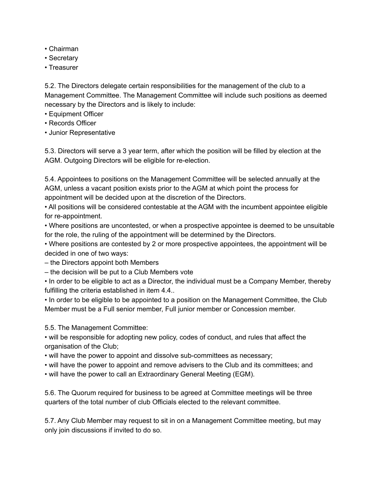- Chairman
- Secretary
- Treasurer

5.2. The Directors delegate certain responsibilities for the management of the club to a Management Committee. The Management Committee will include such positions as deemed necessary by the Directors and is likely to include:

- Equipment Officer
- Records Officer
- Junior Representative

5.3. Directors will serve a 3 year term, after which the position will be filled by election at the AGM. Outgoing Directors will be eligible for re-election.

5.4. Appointees to positions on the Management Committee will be selected annually at the AGM, unless a vacant position exists prior to the AGM at which point the process for appointment will be decided upon at the discretion of the Directors.

• All positions will be considered contestable at the AGM with the incumbent appointee eligible for re-appointment.

• Where positions are uncontested, or when a prospective appointee is deemed to be unsuitable for the role, the ruling of the appointment will be determined by the Directors.

• Where positions are contested by 2 or more prospective appointees, the appointment will be decided in one of two ways:

- the Directors appoint both Members
- the decision will be put to a Club Members vote

• In order to be eligible to act as a Director, the individual must be a Company Member, thereby fulfilling the criteria established in item 4.4..

• In order to be eligible to be appointed to a position on the Management Committee, the Club Member must be a Full senior member, Full junior member or Concession member.

5.5. The Management Committee:

• will be responsible for adopting new policy, codes of conduct, and rules that affect the organisation of the Club;

- will have the power to appoint and dissolve sub-committees as necessary;
- will have the power to appoint and remove advisers to the Club and its committees; and
- will have the power to call an Extraordinary General Meeting (EGM).

5.6. The Quorum required for business to be agreed at Committee meetings will be three quarters of the total number of club Officials elected to the relevant committee.

5.7. Any Club Member may request to sit in on a Management Committee meeting, but may only join discussions if invited to do so.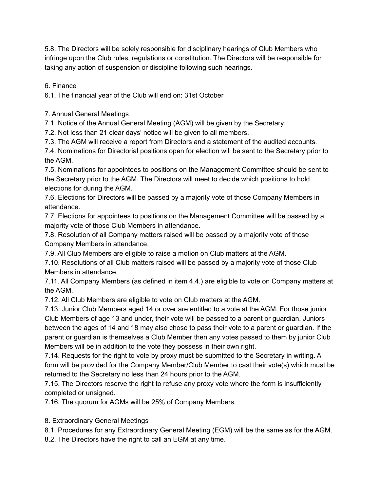5.8. The Directors will be solely responsible for disciplinary hearings of Club Members who infringe upon the Club rules, regulations or constitution. The Directors will be responsible for taking any action of suspension or discipline following such hearings.

6. Finance

6.1. The financial year of the Club will end on: 31st October

7. Annual General Meetings

7.1. Notice of the Annual General Meeting (AGM) will be given by the Secretary.

7.2. Not less than 21 clear days' notice will be given to all members.

7.3. The AGM will receive a report from Directors and a statement of the audited accounts.

7.4. Nominations for Directorial positions open for election will be sent to the Secretary prior to the AGM.

7.5. Nominations for appointees to positions on the Management Committee should be sent to the Secretary prior to the AGM. The Directors will meet to decide which positions to hold elections for during the AGM.

7.6. Elections for Directors will be passed by a majority vote of those Company Members in attendance.

7.7. Elections for appointees to positions on the Management Committee will be passed by a majority vote of those Club Members in attendance.

7.8. Resolution of all Company matters raised will be passed by a majority vote of those Company Members in attendance.

7.9. All Club Members are eligible to raise a motion on Club matters at the AGM.

7.10. Resolutions of all Club matters raised will be passed by a majority vote of those Club Members in attendance.

7.11. All Company Members (as defined in item 4.4.) are eligible to vote on Company matters at the AGM.

7.12. All Club Members are eligible to vote on Club matters at the AGM.

7.13. Junior Club Members aged 14 or over are entitled to a vote at the AGM. For those junior Club Members of age 13 and under, their vote will be passed to a parent or guardian. Juniors between the ages of 14 and 18 may also chose to pass their vote to a parent or guardian. If the parent or guardian is themselves a Club Member then any votes passed to them by junior Club Members will be in addition to the vote they possess in their own right.

7.14. Requests for the right to vote by proxy must be submitted to the Secretary in writing. A form will be provided for the Company Member/Club Member to cast their vote(s) which must be returned to the Secretary no less than 24 hours prior to the AGM.

7.15. The Directors reserve the right to refuse any proxy vote where the form is insufficiently completed or unsigned.

7.16. The quorum for AGMs will be 25% of Company Members.

8. Extraordinary General Meetings

8.1. Procedures for any Extraordinary General Meeting (EGM) will be the same as for the AGM.

8.2. The Directors have the right to call an EGM at any time.